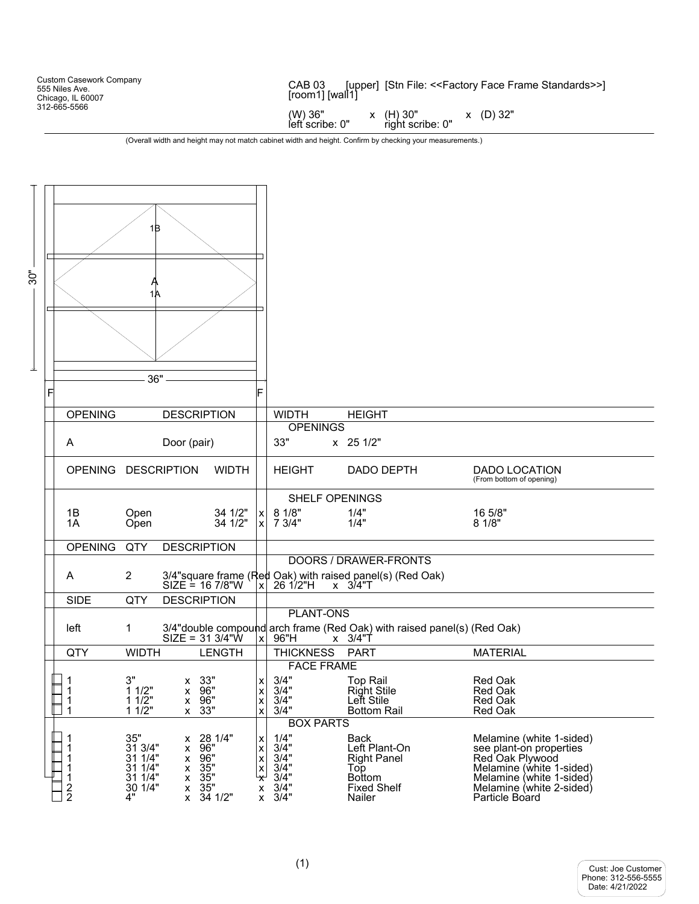Custom Casework Company 555 Niles Ave. Chicago, IL 60007 312-665-5566 CAB 03 [upper] [Stn File: <<Factory Face Frame Standards>>] [room1] [wall1]  $(W)$  36"  $\times$   $(H)$  30"  $\times$   $(D)$  32"<br>
left scribe: 0" right scribe: 0" right scribe: 0"

(Overall width and height may not match cabinet width and height. Confirm by checking your measurements.)

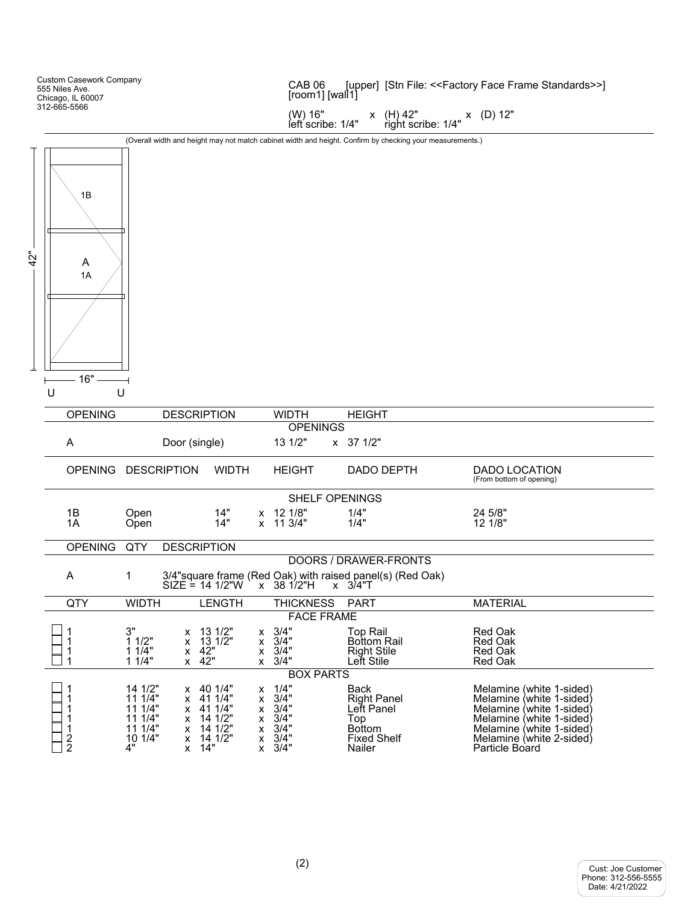|     | <b>Custom Casework Company</b><br>555 Niles Ave.<br>Chicago, IL 60007 |                                                                      |                                                                                                           |                                                  | CAB <sub>06</sub>                                                        | [upper] [Stn File: < <factory face="" frame="" standards="">&gt;]<br/>[room1] [wall1]</factory>           |                                                                                                                                                                                        |  |  |  |
|-----|-----------------------------------------------------------------------|----------------------------------------------------------------------|-----------------------------------------------------------------------------------------------------------|--------------------------------------------------|--------------------------------------------------------------------------|-----------------------------------------------------------------------------------------------------------|----------------------------------------------------------------------------------------------------------------------------------------------------------------------------------------|--|--|--|
|     | 312-665-5566                                                          |                                                                      |                                                                                                           |                                                  | (W) 16"<br>left scribe: 1/4"                                             | x (H) 42"<br>right scribe: 1/4"                                                                           | x (D) 12"                                                                                                                                                                              |  |  |  |
|     |                                                                       |                                                                      |                                                                                                           |                                                  |                                                                          | (Overall width and height may not match cabinet width and height. Confirm by checking your measurements.) |                                                                                                                                                                                        |  |  |  |
| 42" | 1B<br>A<br>1A<br>16"                                                  |                                                                      |                                                                                                           |                                                  |                                                                          |                                                                                                           |                                                                                                                                                                                        |  |  |  |
|     | U                                                                     | U                                                                    |                                                                                                           |                                                  |                                                                          |                                                                                                           |                                                                                                                                                                                        |  |  |  |
|     | <b>OPENING</b>                                                        |                                                                      | <b>DESCRIPTION</b>                                                                                        |                                                  | <b>WIDTH</b><br><b>OPENINGS</b>                                          | <b>HEIGHT</b>                                                                                             |                                                                                                                                                                                        |  |  |  |
|     | A                                                                     |                                                                      | Door (single)                                                                                             |                                                  | 13 1/2"                                                                  | $x \quad 37 \quad 1/2"$                                                                                   |                                                                                                                                                                                        |  |  |  |
|     |                                                                       | OPENING DESCRIPTION                                                  | <b>WIDTH</b>                                                                                              |                                                  | <b>HEIGHT</b>                                                            | DADO DEPTH                                                                                                | <b>DADO LOCATION</b><br>(From bottom of opening)                                                                                                                                       |  |  |  |
|     |                                                                       |                                                                      |                                                                                                           |                                                  | <b>SHELF OPENINGS</b>                                                    |                                                                                                           |                                                                                                                                                                                        |  |  |  |
|     | 1B<br>1A                                                              | Open<br>Open                                                         | 14"<br>14"                                                                                                |                                                  | x 12 1/8"<br>x 11 3/4"                                                   | 1/4"<br>1/4"                                                                                              | 24 5/8"<br>12 1/8"                                                                                                                                                                     |  |  |  |
|     | <b>OPENING</b>                                                        | QTY                                                                  | <b>DESCRIPTION</b>                                                                                        |                                                  |                                                                          |                                                                                                           |                                                                                                                                                                                        |  |  |  |
|     |                                                                       |                                                                      |                                                                                                           |                                                  |                                                                          | DOORS / DRAWER-FRONTS                                                                                     |                                                                                                                                                                                        |  |  |  |
|     | A                                                                     | 1                                                                    | $SIZE = 14 1/2"W$                                                                                         |                                                  | $x$ 38 1/2"H                                                             | 3/4"square frame (Red Oak) with raised panel(s) (Red Oak)<br>$x \quad 3/4$ "T                             |                                                                                                                                                                                        |  |  |  |
|     | QTY                                                                   | <b>WIDTH</b>                                                         | <b>LENGTH</b>                                                                                             |                                                  | <b>THICKNESS</b>                                                         | <b>PART</b>                                                                                               | <b>MATERIAL</b>                                                                                                                                                                        |  |  |  |
|     |                                                                       |                                                                      |                                                                                                           |                                                  | <b>FACE FRAME</b>                                                        |                                                                                                           |                                                                                                                                                                                        |  |  |  |
|     | 1<br>1<br>1<br>1                                                      | 3"<br>11/2"<br>11/4"<br>11/4"                                        | x 13 1/2"<br>13 1/2"<br>x<br>$x \quad 42"$<br>x 42"                                                       | X                                                | $x \quad 3/4"$<br>$x \quad 3/4"$<br>3/4"<br>$x \quad 3/4"$               | <b>Top Rail</b><br><b>Bottom Rail</b><br><b>Right Stile</b><br>Left Stile                                 | Red Oak<br>Red Oak<br>Red Oak<br>Red Oak                                                                                                                                               |  |  |  |
|     | 1<br>1<br>1<br>1<br>1<br>$\frac{2}{2}$                                | 14 1/2"<br>11 1/4"<br>11 1/4"<br>11 1/4"<br>11 1/4"<br>10 1/4"<br>4" | $x$ 40 1/4"<br>x 41 1/4"<br>x 41 1/4"<br>$x$ 14 1/2"<br>x 14 1/2"<br>14 1/2"<br>X.<br>14"<br>$\mathsf{X}$ | x<br>X<br>X<br>x<br>x<br>x<br>$\pmb{\mathsf{x}}$ | <b>BOX PARTS</b><br>1/4"<br>3/4"<br>3/4"<br>3/4"<br>3/4"<br>3/4"<br>3/4" | Back<br><b>Right Panel</b><br>Left Panel<br>Top<br><b>Bottom</b><br><b>Fixed Shelf</b><br>Nailer          | Melamine (white 1-sided)<br>Melamine (white 1-sided)<br>Melamine (white 1-sided)<br>Melamine (white 1-sided)<br>Melamine (white 1-sided)<br>Melamine (white 2-sided)<br>Particle Board |  |  |  |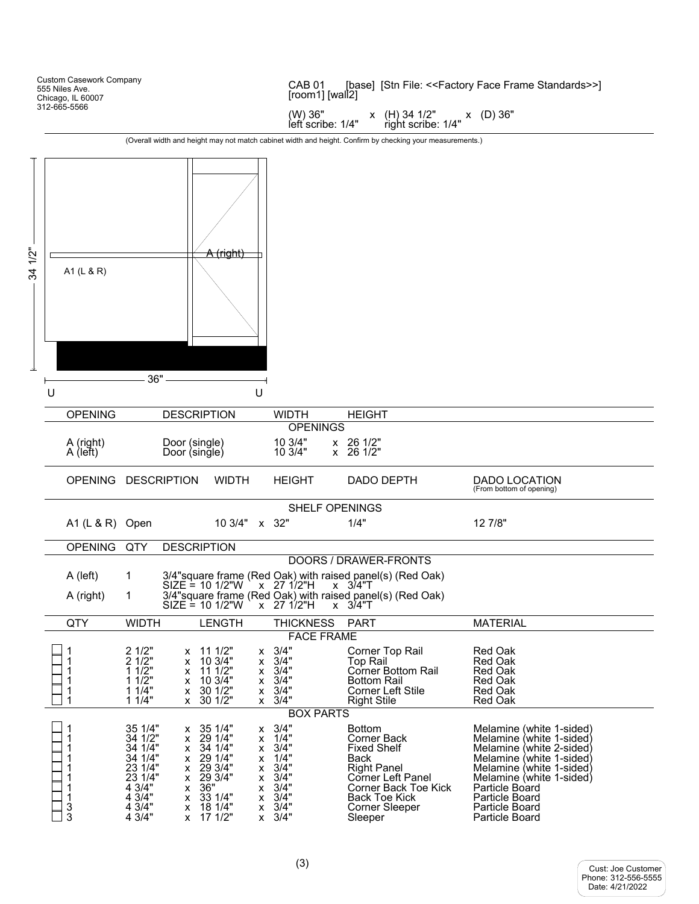Custom Casework Company 555 Niles Ave. Chicago, IL 60007 312-665-5566 A (right) A1 (L & R) 36" U U 34 1/2" CAB 01 [base] [Stn File: <<Factory Face Frame Standards>>] [room1] [wall2] (W) 36" x (H) 34 1/2" x (D) 36"<br>left scribe: 1/4" right scribe: 1/4" right scribe: 1/4" (Overall width and height may not match cabinet width and height. Confirm by checking your measurements.) OPENING DESCRIPTION WIDTH HEIGHT OPENINGS A (right) Door (single) 10 3/4" x 26 1/2" Door (single) OPENING DESCRIPTION WIDTH HEIGHT DADO DEPTH DADO LOCATION (From bottom of opening) SHELF OPENINGS A1 (L & R) Open 10 3/4" x 32" 1/4" 12 7/8" OPENING QTY DESCRIPTION DOORS / DRAWER-FRONTS A (left) 1 3/4"square frame (Red Oak) with raised panel(s) (Red Oak) SIZE = 10 1/2"W )x 27 1/2"H x 3/4"T A (right) 1 3/4"square frame (Red Oak) with raised panel(s) (Red Oak) SIZE = 10 1/2"W x 27 1/2"H x 3/4"T QTY WIDTH LENGTH THICKNESS PART MATERIAL FACE FRAME 1 2 1/2" x 11 1/2" x 3/4" Corner Top Rail Red Oak<br>1 2 1/2" x 10 3/4" x 3/4" Top Rail Red Oak<br>1 1 1/2" x 11 1/2" x 3/4" Corner Bottom Rail Red Oak 1 2 1/2" x 10 3/4" x 3/4" Top Rail Red Oak 1 1 1/2" x 11 1/2" x 3/4" Corner Bottom Rail Red Oak 1 1 1/2" x 10 3/4" x 3/4" Bottom Rail Red Oak 1 1 1/4" x 30 1/2" x 3/4" Corner Left Stile Red Oak Right Stile BOX PARTS 1  $\begin{array}{ccc} 35 & 1/4" & x & 35 & 1/4" & x & 3/4" & 3/4" & x & 29 & 1/4" & x & 3/4" & x & 3/4" & x & 3/4" & x & 3/4" & x & 3/4" & x & 3/4" & x & 3/4" & x & 3/4" & x & 3/4" & x & 3/4" & x & 3/4" & x & 3/4" & x & 3/4" & x & 3/4" & x & 3/4" & x & 3/4" & x & 3/4" & x & 3/4" & x & 3/4" & x & 3/4" & x &$ 1 34 1/2" x 29 1/4" x 1/4" Corner Back Melamine (white 1-sided) 1 34 1/4" x 34 1/4" x 3/4" Fixed Shelf Melamine (white 2-sided) x 1/4" Back Melamine (white 1-sided)<br>x 3/4" Right Panel Melamine (white 1-sided) 1 23 1/4" x 29 3/4" x 3/4" Right Panel Melamine (white 1-sided) 1 23 1/4" x 29 3/4" x 3/4" Corner Left Panel Melamine (white 1-sided) 1 4 3/4" x 36" x 3/4" Corner Back Toe Kick Particle Board  $\begin{array}{ccccccccc}\n1 & 4 & 3/4" & x & 33 & 1/4" & x & 3/4" & \text{Back Toe Kic.} & \text{Particle Board} \\
3 & 4 & 3/4" & x & 18 & 1/4" & x & 3/4" & \text{Corner} & \text{Porticle Board} \\
3 & 4 & 3/4" & x & 17 & 1/2" & x & 3/4" & \text{Sleeper} & \text{Particle Board} \\
\end{array}$ x 3/4" Corner Sleeper<br>x 3/4" Sleeper **Particle Board**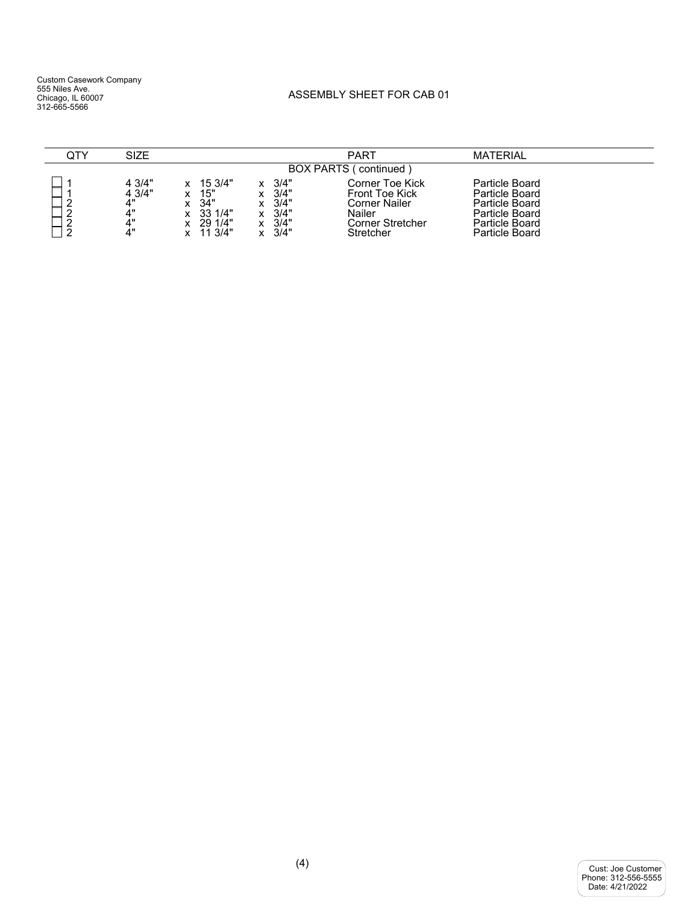## ASSEMBLY SHEET FOR CAB 01

| QTY                                                                 | SIZE                                     |                                                                            |                                              | PART                                                                                          | <b>MATERIAL</b>                                                                                          |  |  |  |  |
|---------------------------------------------------------------------|------------------------------------------|----------------------------------------------------------------------------|----------------------------------------------|-----------------------------------------------------------------------------------------------|----------------------------------------------------------------------------------------------------------|--|--|--|--|
| <b>BOX PARTS (</b><br>continued)                                    |                                          |                                                                            |                                              |                                                                                               |                                                                                                          |  |  |  |  |
| $\sqrt{2}$<br>-<br>$\sqrt{2}$<br>-<br>$\sqrt{2}$<br>_<br>$\sqrt{2}$ | 4 3/4"<br>4 3/4"<br>4"<br>4"<br>4"<br>4" | 15 3/4"<br>15"<br>34"<br>x<br>33 1/4"<br>x<br>29 1/4"<br>x<br>11 3/4"<br>x | 3/4"<br>3/4"<br>3/4"<br>3/4"<br>3/4"<br>3/4" | Corner Toe Kick<br>Front Toe Kick<br>Corner Nailer<br>Nailer<br>Corner Stretcher<br>Stretcher | Particle Board<br>Particle Board<br>Particle Board<br>Particle Board<br>Particle Board<br>Particle Board |  |  |  |  |

| Cust: Joe Customer  |
|---------------------|
| Phone: 312-556-5555 |
| Date: 4/21/2022     |
|                     |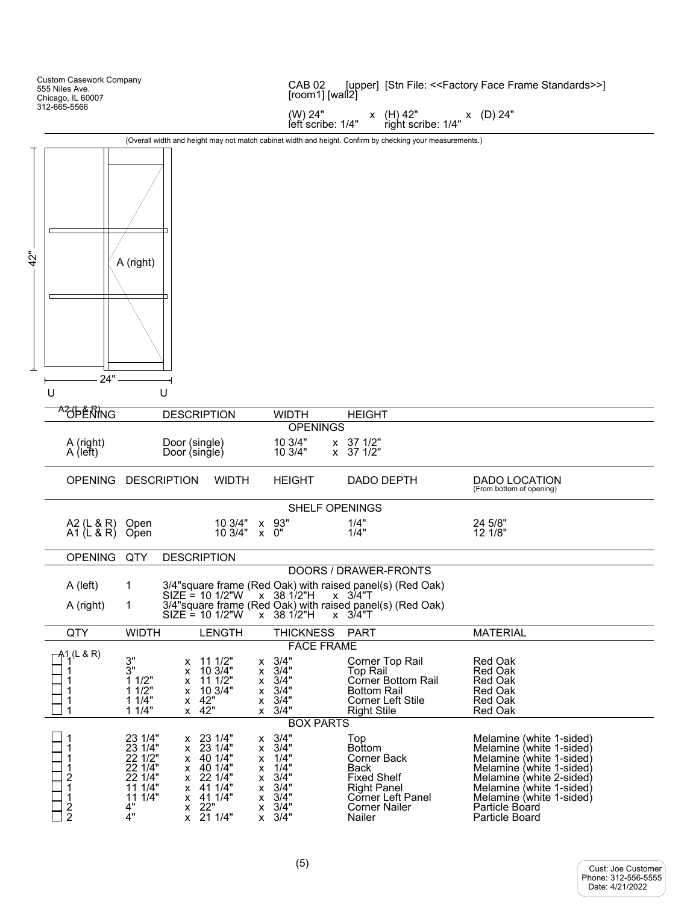|     | <b>Custom Casework Company</b><br>555 Niles Ave.<br>Chicago, IL 60007 |                                                                                                 |                                      |                                                                                                            |                                                          | [upper] [Stn File: < <factory face="" frame="" standards="">&gt;]<br/>CAB<sub>02</sub><br/>[room1] [wall2]</factory> |                                                                                                                                                    |                                                                                                                                                                                                                                      |  |
|-----|-----------------------------------------------------------------------|-------------------------------------------------------------------------------------------------|--------------------------------------|------------------------------------------------------------------------------------------------------------|----------------------------------------------------------|----------------------------------------------------------------------------------------------------------------------|----------------------------------------------------------------------------------------------------------------------------------------------------|--------------------------------------------------------------------------------------------------------------------------------------------------------------------------------------------------------------------------------------|--|
|     | 312-665-5566                                                          |                                                                                                 |                                      |                                                                                                            |                                                          | (W) 24"<br>left scribe: 1/4"                                                                                         | $right \xrightarrow{\text{right} \text{scribe}: 1/4"} \begin{array}{l} \text{x} \end{array}$ (D) 24"<br>x (H) 42"                                  |                                                                                                                                                                                                                                      |  |
|     |                                                                       |                                                                                                 |                                      |                                                                                                            |                                                          |                                                                                                                      | (Overall width and height may not match cabinet width and height. Confirm by checking your measurements.)                                          |                                                                                                                                                                                                                                      |  |
| 42" | 24"                                                                   | A (right)                                                                                       |                                      |                                                                                                            |                                                          |                                                                                                                      |                                                                                                                                                    |                                                                                                                                                                                                                                      |  |
|     | U                                                                     |                                                                                                 | U                                    |                                                                                                            |                                                          |                                                                                                                      |                                                                                                                                                    |                                                                                                                                                                                                                                      |  |
|     | AOPERING                                                              |                                                                                                 | <b>DESCRIPTION</b>                   |                                                                                                            |                                                          | <b>WIDTH</b>                                                                                                         | <b>HEIGHT</b>                                                                                                                                      |                                                                                                                                                                                                                                      |  |
|     | A (right)<br>A (left)                                                 |                                                                                                 | Door (single)<br>Door (single)       |                                                                                                            |                                                          | <b>OPENINGS</b><br>10 3/4"<br>10 3/4"                                                                                | x 37 1/2"<br>$x \quad 37 \quad 1/2"$                                                                                                               |                                                                                                                                                                                                                                      |  |
|     | OPENING DESCRIPTION                                                   |                                                                                                 |                                      | <b>WIDTH</b>                                                                                               |                                                          | <b>HEIGHT</b>                                                                                                        | DADO DEPTH                                                                                                                                         | DADO LOCATION<br>(From bottom of opening)                                                                                                                                                                                            |  |
|     |                                                                       |                                                                                                 |                                      |                                                                                                            |                                                          | <b>SHELF OPENINGS</b>                                                                                                |                                                                                                                                                    |                                                                                                                                                                                                                                      |  |
|     | A2 (L & R)<br>A1 (L & R)                                              | Open<br>Open                                                                                    |                                      | 10 3/4" x 93"<br>$103/4" \times 0"$                                                                        |                                                          |                                                                                                                      | 1/4"<br>1/4"                                                                                                                                       | 24 5/8"<br>12 1/8"                                                                                                                                                                                                                   |  |
|     | OPENING QTY                                                           |                                                                                                 | <b>DESCRIPTION</b>                   |                                                                                                            |                                                          |                                                                                                                      |                                                                                                                                                    |                                                                                                                                                                                                                                      |  |
|     |                                                                       |                                                                                                 |                                      |                                                                                                            |                                                          |                                                                                                                      | DOORS / DRAWER-FRONTS                                                                                                                              |                                                                                                                                                                                                                                      |  |
|     | A (left)<br>A (right)                                                 | $\mathbf{1}$<br>1                                                                               | $SIZE = 10$ 1/2"W                    | $SIZE = 10$ 1/2"W                                                                                          |                                                          | $x$ 38 1/2"H<br>$x$ 38 1/2"H<br><b>X</b>                                                                             | 3/4"square frame (Red Oak) with raised panel(s) (Red Oak)<br>$x \quad 3/4"T$<br>3/4"square frame (Red Oak) with raised panel(s) (Red Oak)<br>3/4"T |                                                                                                                                                                                                                                      |  |
|     | QTY                                                                   | <b>WIDTH</b>                                                                                    |                                      | <b>LENGTH</b>                                                                                              |                                                          | <b>THICKNESS</b>                                                                                                     | <b>PART</b>                                                                                                                                        | <b>MATERIAL</b>                                                                                                                                                                                                                      |  |
|     | $-41$ <sub>4</sub> (L & R)<br>1<br>1<br>1<br>1                        | 3"<br>3"<br>11/2"<br>1 1/2"<br>11/4"<br>11/4"                                                   | х<br>x<br>х<br>x<br>X<br><b>X</b>    | 11 1/2"<br>10 3/4"<br>11 1/2"<br>10 3/4"<br>42"<br>42"                                                     | x.<br>X.<br>X.<br>X.<br>x                                | <b>FACE FRAME</b><br>3/4"<br>3/4"<br>3/4"<br>3/4"<br>3/4"<br>$x \frac{3}{4}$ "                                       | Corner Top Rail<br><b>Top Rail</b><br>Corner Bottom Rail<br>Bottom Rail<br>Corner Left Stile<br><b>Right Stile</b>                                 | Red Oak<br><b>Red Oak</b><br>Red Oak<br><b>Red Oak</b><br><b>Red Oak</b><br><b>Red Oak</b>                                                                                                                                           |  |
|     |                                                                       |                                                                                                 |                                      |                                                                                                            |                                                          | <b>BOX PARTS</b>                                                                                                     |                                                                                                                                                    |                                                                                                                                                                                                                                      |  |
|     | 1<br>1<br>1<br>$\overline{\mathbf{c}}$<br>1<br>1<br>$\frac{2}{2}$     | 23 1/4"<br>23 1/4"<br>22 1/2"<br>22 1/4"<br>22 1/4"<br>11 1/4"<br>11 1/4"<br>4"<br>$\ddot{4}$ " | x<br>x<br>х<br>x<br>x<br>x<br>х<br>X | x 23 1/4"<br>23 1/4"<br>40 1/4"<br>40 1/4"<br>22 1/4"<br>41 1/4"<br>41 1/4"<br>22"<br>$\overline{21}$ 1/4" | x.<br>x<br>x<br>х<br>x.<br>X.<br>x<br>X.<br>$\mathsf{x}$ | 3/4"<br>3/4"<br>1/4"<br>1/4"<br>3/4"<br>3/4"<br>3/4"<br>3/4"<br>3/4"                                                 | Top<br><b>Bottom</b><br>Corner Back<br>Back<br><b>Fixed Shelf</b><br><b>Right Panel</b><br>Corner Left Panel<br><b>Corner Nailer</b><br>Nailer     | Melamine (white 1-sided)<br>Melamine (white 1-sided)<br>Melamine (white 1-sided)<br>Melamine (white 1-sided)<br>Melamine (white 2-sided)<br>Melamine (white 1-sided)<br>Melamine (white 1-sided)<br>Particle Board<br>Particle Board |  |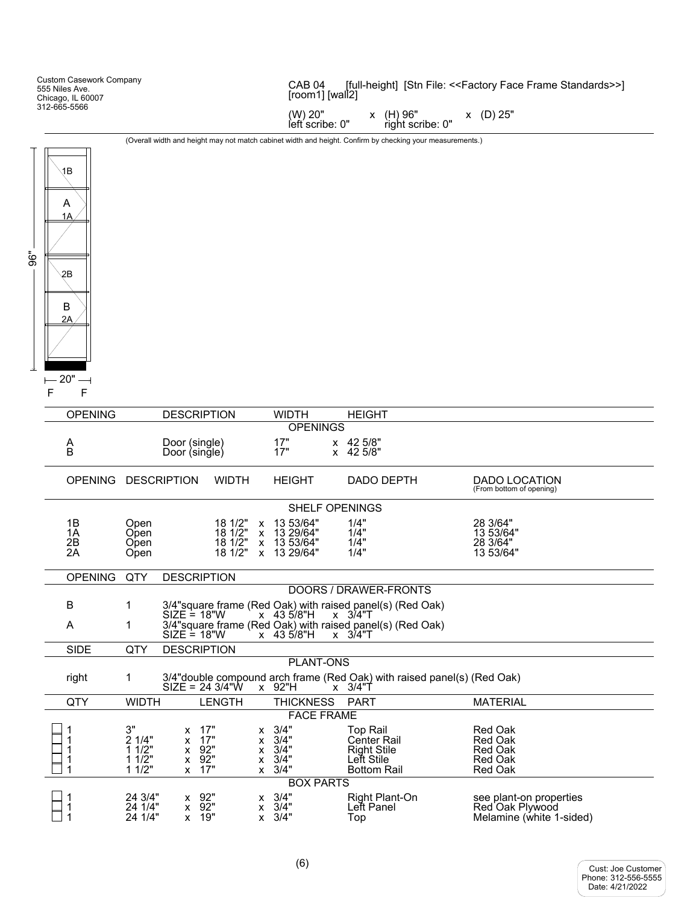| <b>Custom Casework Company</b><br>555 Niles Ave.<br>Chicago, IL 60007 | [full-height] [Stn File: < <factory face="" frame="" standards="">&gt;]<br/>CAB<sub>04</sub><br/>[room1] [wall2]</factory> |  |
|-----------------------------------------------------------------------|----------------------------------------------------------------------------------------------------------------------------|--|
| 312-665-5566                                                          | (W) 20"<br>x (D) 25"<br>(H) 96"<br>left scribe: 0"<br>right scribe: 0"                                                     |  |
|                                                                       | .                                                                                                                          |  |

(Overall width and height may not match cabinet width and height. Confirm by checking your measurements.)



| <b>OPENING</b>       |                                         | <b>DESCRIPTION</b>                           |                                         |                                                                   | <b>WIDTH</b>                                           | <b>HEIGHT</b>                                                                                     |                                                                          |
|----------------------|-----------------------------------------|----------------------------------------------|-----------------------------------------|-------------------------------------------------------------------|--------------------------------------------------------|---------------------------------------------------------------------------------------------------|--------------------------------------------------------------------------|
|                      |                                         |                                              |                                         |                                                                   | <b>OPENINGS</b>                                        |                                                                                                   |                                                                          |
| $_{\rm B}^{\rm A}$   |                                         | Door (single)<br>Door (single)               |                                         |                                                                   | 17"<br>17"                                             | x 42 5/8"<br>x 42 5/8"                                                                            |                                                                          |
| OPENING DESCRIPTION  |                                         |                                              | <b>WIDTH</b>                            |                                                                   | <b>HEIGHT</b>                                          | <b>DADO DEPTH</b>                                                                                 | DADO LOCATION<br>(From bottom of opening)                                |
|                      |                                         |                                              |                                         |                                                                   | <b>SHELF OPENINGS</b>                                  |                                                                                                   |                                                                          |
| 1B<br>1A<br>2B<br>2A | Open<br>Open<br>Open<br>Open            |                                              | 18 1/2"<br>181/2"<br>18 1/2"<br>18 1/2" | $\mathsf{x}$                                                      | 13 53/64"<br>x 13 29/64"<br>x 13 53/64"<br>x 13 29/64" | 1/4"<br>1/4"<br>1/4"<br>1/4"                                                                      | 28 3/64"<br>13 53/64"<br>28 3/64"<br>13 53/64"                           |
| <b>OPENING</b>       | QTY                                     |                                              | <b>DESCRIPTION</b>                      |                                                                   |                                                        |                                                                                                   |                                                                          |
|                      |                                         |                                              |                                         |                                                                   |                                                        | DOORS / DRAWER-FRONTS                                                                             |                                                                          |
| B                    | 1                                       |                                              |                                         |                                                                   |                                                        | 3/4" square frame (Red Oak) with raised panel(s) (Red Oak)                                        |                                                                          |
| A                    | 1                                       | $SIZE = 18"W$<br>$SIZE = 18"W$               |                                         |                                                                   | $x$ 43 5/8"H<br>x 43 5/8"H                             | $x \quad 3/4"T$<br>3/4" square frame (Red Oak) with raised panel(s) (Red Oak)<br>$x \quad 3/4$ "T |                                                                          |
| <b>SIDE</b>          | QTY                                     |                                              | <b>DESCRIPTION</b>                      |                                                                   |                                                        |                                                                                                   |                                                                          |
|                      |                                         |                                              |                                         |                                                                   | <b>PLANT-ONS</b>                                       |                                                                                                   |                                                                          |
| right                | 1                                       |                                              | $SIZE = 243/4"W$                        |                                                                   | x 92"H                                                 | 3/4" double compound arch frame (Red Oak) with raised panel(s) (Red Oak)<br>$x \quad 3/4$ "T      |                                                                          |
| QTY                  | <b>WIDTH</b>                            |                                              | <b>LENGTH</b>                           |                                                                   | <b>THICKNESS</b>                                       | <b>PART</b>                                                                                       | <b>MATERIAL</b>                                                          |
|                      |                                         |                                              |                                         |                                                                   | <b>FACE FRAME</b>                                      |                                                                                                   |                                                                          |
|                      | 3"<br>2 1/4"<br>11/2"<br>11/2"<br>11/2" | x<br>X<br>$\mathsf{x}$<br>X                  | 17"<br>17"<br>x 92"<br>92"<br>17"       | $\mathsf{x}$<br>$\mathsf{x}$<br>$\mathsf{x}$<br>X<br>$\mathsf{x}$ | 3/4"<br>3/4"<br>3/4"<br>3/4"<br>3/4"                   | <b>Top Rail</b><br><b>Center Rail</b><br><b>Right Stile</b><br>Lett Stile<br><b>Bottom Rail</b>   | Red Oak<br><b>Red Oak</b><br>Red Oak<br><b>Red Oak</b><br><b>Red Oak</b> |
|                      |                                         |                                              |                                         |                                                                   | <b>BOX PARTS</b>                                       |                                                                                                   |                                                                          |
|                      | 24 3/4"<br>24 1/4"<br>24 1/4"           | $\mathsf{x}$<br>$\mathsf{x}$<br>$\mathsf{x}$ | 92"<br>92"<br>19"                       | $\mathsf{x}$                                                      | $x \quad 3/4"$<br>3/4"<br>$x \quad 3/4"$               | Right Plant-On<br>Lett Panel<br>Top                                                               | see plant-on properties<br>Red Oak Plywood<br>Melamine (white 1-sided)   |

Cust: Phone: Date: Joe Customer 312-556-5555 4/21/2022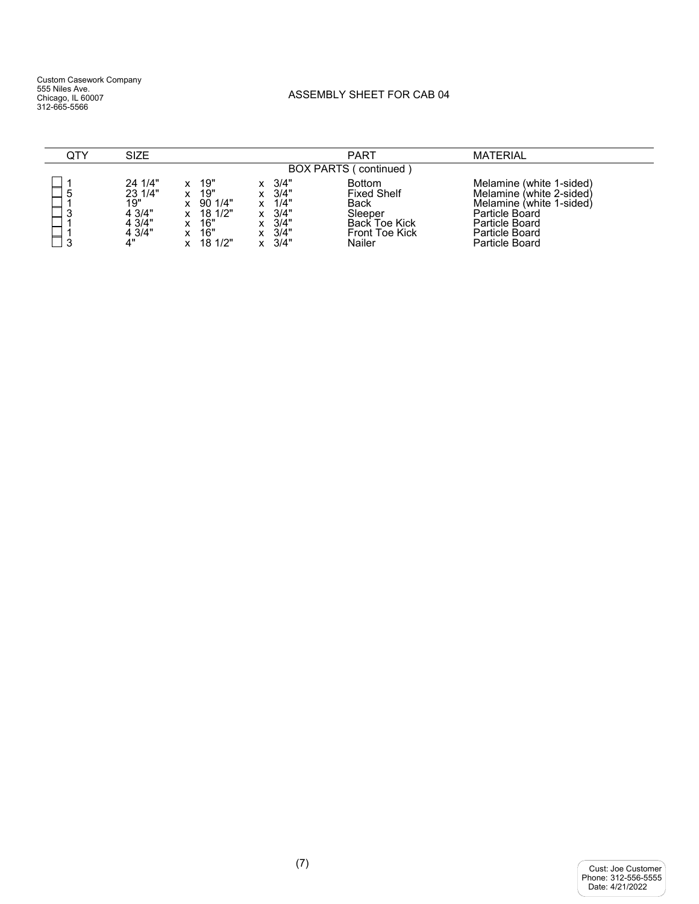## ASSEMBLY SHEET FOR CAB 04

| QTY                              | <b>SIZE</b>                                                   |                                                                   |                                                                                          | <b>PART</b>                                                                                                              | <b>MATERIAL</b>                                                                                                                                          |  |  |  |  |  |
|----------------------------------|---------------------------------------------------------------|-------------------------------------------------------------------|------------------------------------------------------------------------------------------|--------------------------------------------------------------------------------------------------------------------------|----------------------------------------------------------------------------------------------------------------------------------------------------------|--|--|--|--|--|
| <b>BOX PARTS (</b><br>continued) |                                                               |                                                                   |                                                                                          |                                                                                                                          |                                                                                                                                                          |  |  |  |  |  |
| ხ<br>0<br>د<br>$\sqrt{2}$        | 24 1/4"<br>23 1/4"<br>19"<br>4 3/4"<br>4 3/4"<br>4 3/4"<br>4" | 19"<br>19"<br>901/4"<br>x<br>18 1/2"<br>16"<br>16"<br>181/2"<br>x | 3/4"<br>3/4"<br>x<br>1/4"<br>$\checkmark$<br>3/4"<br>3/4"<br>3/4"<br>3/4"<br>$\mathbf v$ | <b>Bottom</b><br><b>Fixed Shelf</b><br><b>Back</b><br>Sleeper<br><b>Back Toe Kick</b><br><b>Front Toe Kick</b><br>Nailer | Melamine (white 1-sided)<br>Melamine (white 2-sided)<br>Melamine (white 1-sided)<br>Particle Board<br>Particle Board<br>Particle Board<br>Particle Board |  |  |  |  |  |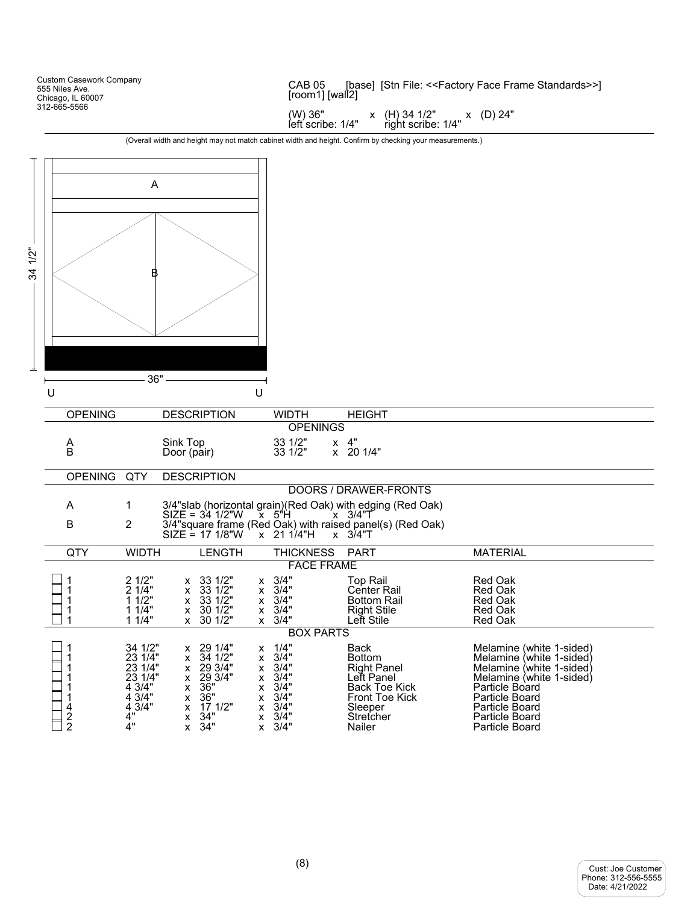|            | <b>Custom Casework Company</b><br>555 Niles Ave.<br>Chicago, IL 60007 |                                                                                    |                                                                                                                                                                                                   | CAB <sub>05</sub>                                                    | [base] [Stn File: < <factory face="" frame="" standards="">&gt;]<br/>[room1] [wall2]</factory>                                                      |                                                                                                                                                                                                               |  |  |  |
|------------|-----------------------------------------------------------------------|------------------------------------------------------------------------------------|---------------------------------------------------------------------------------------------------------------------------------------------------------------------------------------------------|----------------------------------------------------------------------|-----------------------------------------------------------------------------------------------------------------------------------------------------|---------------------------------------------------------------------------------------------------------------------------------------------------------------------------------------------------------------|--|--|--|
|            | 312-665-5566                                                          |                                                                                    |                                                                                                                                                                                                   | (W) 36"<br>left scribe: 1/4"                                         | $x$ (H) 34 1/2"<br>right scribe: 1/4"                                                                                                               | x (D) 24"                                                                                                                                                                                                     |  |  |  |
|            |                                                                       |                                                                                    |                                                                                                                                                                                                   |                                                                      | (Overall width and height may not match cabinet width and height. Confirm by checking your measurements.)                                           |                                                                                                                                                                                                               |  |  |  |
|            |                                                                       |                                                                                    |                                                                                                                                                                                                   |                                                                      |                                                                                                                                                     |                                                                                                                                                                                                               |  |  |  |
|            |                                                                       | A                                                                                  |                                                                                                                                                                                                   |                                                                      |                                                                                                                                                     |                                                                                                                                                                                                               |  |  |  |
| 1/2"<br>34 | U                                                                     | 36"                                                                                | U                                                                                                                                                                                                 |                                                                      |                                                                                                                                                     |                                                                                                                                                                                                               |  |  |  |
|            | <b>OPENING</b>                                                        |                                                                                    | <b>DESCRIPTION</b>                                                                                                                                                                                | <b>WIDTH</b>                                                         | <b>HEIGHT</b>                                                                                                                                       |                                                                                                                                                                                                               |  |  |  |
|            |                                                                       |                                                                                    |                                                                                                                                                                                                   | <b>OPENINGS</b>                                                      |                                                                                                                                                     |                                                                                                                                                                                                               |  |  |  |
|            | A<br>B                                                                |                                                                                    | Sink Top<br>Door (pair)                                                                                                                                                                           | 33 1/2"<br>33 1/2"                                                   | $x \quad 4"$<br>x 20 1/4"                                                                                                                           |                                                                                                                                                                                                               |  |  |  |
|            | OPENING QTY                                                           |                                                                                    | <b>DESCRIPTION</b>                                                                                                                                                                                |                                                                      |                                                                                                                                                     |                                                                                                                                                                                                               |  |  |  |
|            |                                                                       |                                                                                    |                                                                                                                                                                                                   |                                                                      | DOORS / DRAWER-FRONTS                                                                                                                               |                                                                                                                                                                                                               |  |  |  |
|            | A<br>В                                                                | 1<br>2                                                                             | 3/4"slab (horizontal grain)(Red Oak) with edging (Red Oak)<br>SIZE = 34 1/2"W x 5"H x 3/4"T<br>$3/4$ "square frame (Red Oak) with raised panel(s) (Red Oak)<br>SIZE = 17 1/8"W x 21 1/4"H x 3/4"T |                                                                      |                                                                                                                                                     |                                                                                                                                                                                                               |  |  |  |
|            | QTY                                                                   | <b>WIDTH</b>                                                                       | <b>LENGTH</b>                                                                                                                                                                                     | <b>THICKNESS</b>                                                     | <b>PART</b>                                                                                                                                         | <b>MATERIAL</b>                                                                                                                                                                                               |  |  |  |
|            |                                                                       |                                                                                    |                                                                                                                                                                                                   | <b>FACE FRAME</b>                                                    |                                                                                                                                                     |                                                                                                                                                                                                               |  |  |  |
|            | 1<br>1<br>1<br>1<br>1                                                 | 2 1/2"<br>2 1/4"<br>11/2"<br>11/4"<br>11/4"                                        | x 33 1/2"<br>x 33 1/2"<br>x<br>33 1/2"<br>X<br>x<br>30 1/2"<br>X<br>X<br>$x$ 30 1/2"                                                                                                              | $x \quad 3/4"$<br>3/4"<br>3/4"<br>3/4"<br>$x \quad 3/4"$             | <b>Top Rail</b><br><b>Center Rail</b><br><b>Bottom Rail</b><br><b>Right Stile</b><br>Lett Stile                                                     | Red Oak<br><b>Red Oak</b><br>Red Oak<br>Red Oak<br><b>Red Oak</b>                                                                                                                                             |  |  |  |
|            |                                                                       |                                                                                    |                                                                                                                                                                                                   | <b>BOX PARTS</b>                                                     |                                                                                                                                                     |                                                                                                                                                                                                               |  |  |  |
|            | 1<br>1<br>1<br>1<br>1<br>1<br>4<br>$\frac{2}{2}$                      | 34 1/2"<br>23 1/4"<br>23 1/4"<br>23 1/4"<br>4 3/4"<br>4 3/4"<br>4 3/4"<br>4"<br>4" | x 29 1/4"<br>х<br>34 1/2"<br>x<br>x<br>x 29 3/4"<br>x<br>29 3/4"<br>x<br>x<br>36"<br>x<br>х<br>36"<br>x<br>х<br>17 1/2"<br>x<br>x<br>$\frac{34}{34}$ "<br>x<br>x<br>$\mathsf{X}$<br>x             | 1/4"<br>3/4"<br>3/4"<br>3/4"<br>3/4"<br>3/4"<br>3/4"<br>3/4"<br>3/4" | <b>Back</b><br><b>Bottom</b><br><b>Right Panel</b><br>Left Panel<br><b>Back Toe Kick</b><br><b>Front Toe Kick</b><br>Sleeper<br>Stretcher<br>Nailer | Melamine (white 1-sided)<br>Melamine (white 1-sided)<br>Melamine (white 1-sided)<br>Melamine (white 1-sided)<br>Particle Board<br>Particle Board<br>Particle Board<br><b>Particle Board</b><br>Particle Board |  |  |  |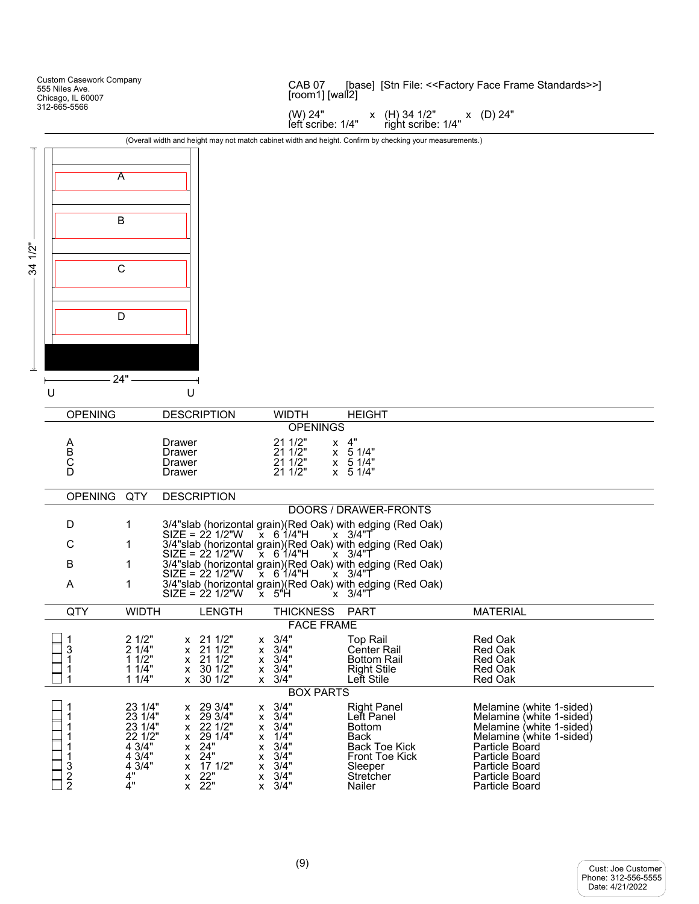Custom Casework Company CAB 07 [base] [Stn File: <<Factory Face Frame Standards>>] 555 Niles Ave. [room1] [wall2] Chicago, IL 60007 312-665-5566 (W) 24" x (H) 34 1/2" x (D) 24"<br>left scribe: 1/4" right scribe: 1/4" right scribe: 1/4" (Overall width and height may not match cabinet width and height. Confirm by checking your measurements.) A B 34 1/2" C D  $24"$ k U U OPENING DESCRIPTION WIDTH HEIGHT OPENINGS A Drawer 21 1/2" x 4"<br>
B Drawer 21 1/2" x 5 1/4"<br>
C Drawer 21 1/2" x 5 1/4" B Drawer 21 1/2" x 5 1/4" C Drawer 21 1/2" x 5 1/4"  $\overline{D}$  Drawer  $\overline{2}$ 1 1/2"  $\overline{2}$  5 1/4" OPENING QTY DESCRIPTION DOORS / DRAWER-FRONTS D 1 3/4"slab (horizontal grain)(Red Oak) with edging (Red Oak)  $SIZE = 22\frac{1}{2}\%$  X  $6\frac{1}{4}\%$  X  $3/4\%$ C 1  $\frac{3}{4}$ "slab (horizontal grain)(Red Oak) with edging (Red Oak)<br>SIZE = 22 1/2"W  $\times$  6 1/4"H  $\times$  3/4"T  $SIZE = 221/2"W$ B 1 3/4"slab (horizontal grain)(Red Oak) with edging (Red Oak)  $SIZE = 22\frac{1}{2}\%$  X  $6\frac{1}{4}\%$  X  $3/4\%$ A 1 3/4"slab (horizontal grain)(Red Oak) with edging (Red Oak)  $SIZE = 221/2"W \times 5"H \times 3/4"T$ QTY WIDTH LENGTH THICKNESS PART MATERIAL FACE FRAME 1 2 1/2" x 21 1/2" x 3/4" Top Rail Red Oak<br>
3 2 1/4" x 21 1/2" x 3/4" Center Rail Red Oak<br>
1 1 1/4" x 30 1/2" x 3/4" Right Stile Red Oak<br>
1 1 1/4" x 30 1/2" x 3/4" Left Stile Red Oak<br>
1 1 1/4" x 30 1/2" x 3/4" Left Stile R 1 2 1/2" x 21 1/2" x 3/4" Top Rail Red Oak 1 1 1/2" x 21 1/2" x 3/4" Bottom Rail Red Oak 1 1/4" x 30 1/2" x 3/4" Right Stile Red Oak<br>1 1/4" x 30 1/2" x 3/4" Left Stile Red Oak 1 1 1/4" x 30 1/2" x 3/4" Left Stile Red Oak BOX PARTS 23 1/4" x 29 3/4" x 3/4" Right Panel Melamine (white 1-sided)<br>
23 1/4" x 29 3/4" x 3/4" Left Panel Melamine (white 1-sided)<br>
23 1/4" x 22 1/2" x 3/4" Bottom Melamine (white 1-sided)<br>
22 1/2" x 24" x 3/4" Back Toe Kick Mela 1 23 1/4" x 29 3/4" x 3/4" Left Panel Melamine (white 1-sided) 1 23 1/4" x 22 1/2" x 3/4" Bottom Melamine (white 1-sided) 1 22 1/2" x 29 1/4" x 1/4" Back Melamine (white 1-sided) 1 4 3/4" x 24" x 3/4" Back Toe Kick Particle Board 1 4 3/4" x 24" x 3/4" Front Toe Kick<br>
3 4 3/4" x 17 1/2" x 3/4" Sleeper<br>
2 4" x 22" x 3/4" Stretcher<br>
2 4" x 22" x 3/4" Nailer x 17 1/2" x 3/4" Sleeper Sleeper Particle Board<br>
x 22" x 3/4" Stretcher Particle Board 2 4" x 22" x 3/4" Stretcher Particle Board ٦ Particle Board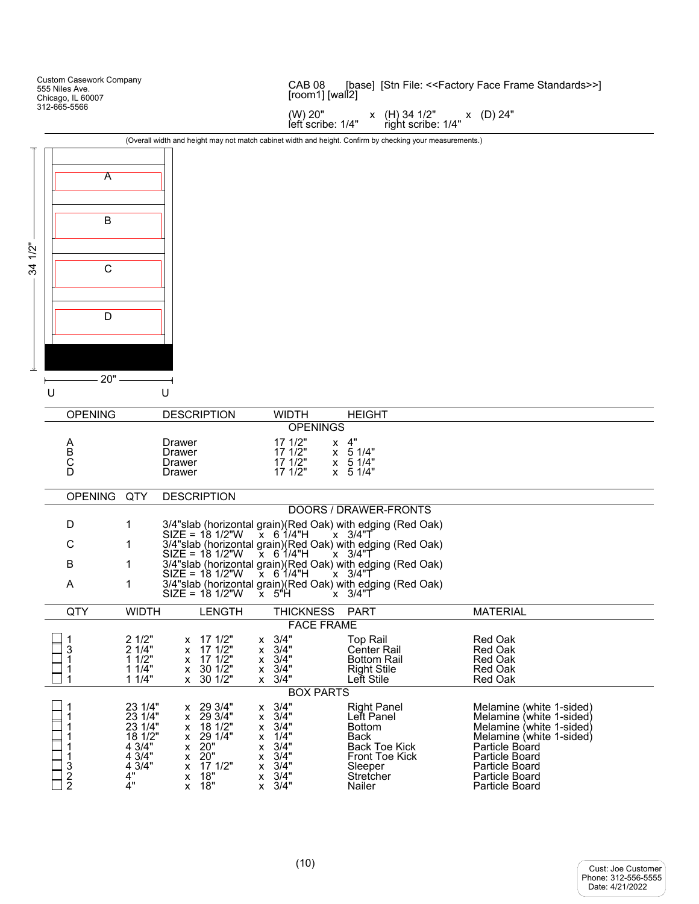|                          |   | <b>Custom Casework Company</b><br>555 Niles Ave.<br>Chicago, IL 60007 |                                             |                                      |                                                         |                     | CAB <sub>08</sub><br>$[room1]$ [wall <sup>2]</sup> |        |                                                                                                           | [base] [Stn File: < <factory face="" frame="" standards="">&gt;]</factory> |
|--------------------------|---|-----------------------------------------------------------------------|---------------------------------------------|--------------------------------------|---------------------------------------------------------|---------------------|----------------------------------------------------|--------|-----------------------------------------------------------------------------------------------------------|----------------------------------------------------------------------------|
|                          |   | 312-665-5566                                                          |                                             |                                      |                                                         |                     | (W) 20"<br>left scribe: 1/4"                       |        | x (H) 34 1/2" x (D) 24"<br>right scribe: 1/4"                                                             |                                                                            |
|                          |   |                                                                       |                                             |                                      |                                                         |                     |                                                    |        | (Overall width and height may not match cabinet width and height. Confirm by checking your measurements.) |                                                                            |
|                          |   |                                                                       |                                             |                                      |                                                         |                     |                                                    |        |                                                                                                           |                                                                            |
|                          |   | A                                                                     |                                             |                                      |                                                         |                     |                                                    |        |                                                                                                           |                                                                            |
|                          |   | В                                                                     |                                             |                                      |                                                         |                     |                                                    |        |                                                                                                           |                                                                            |
| $1/2$ "<br>$\frac{4}{3}$ |   | $\mathsf{C}$                                                          |                                             |                                      |                                                         |                     |                                                    |        |                                                                                                           |                                                                            |
|                          |   | D                                                                     |                                             |                                      |                                                         |                     |                                                    |        |                                                                                                           |                                                                            |
|                          |   |                                                                       |                                             |                                      |                                                         |                     |                                                    |        |                                                                                                           |                                                                            |
|                          |   | $20" -$                                                               |                                             |                                      |                                                         |                     |                                                    |        |                                                                                                           |                                                                            |
|                          | U |                                                                       |                                             | U                                    |                                                         |                     |                                                    |        |                                                                                                           |                                                                            |
|                          |   | <b>OPENING</b>                                                        |                                             |                                      | <b>DESCRIPTION</b>                                      |                     | <b>WIDTH</b>                                       |        | <b>HEIGHT</b>                                                                                             |                                                                            |
|                          |   |                                                                       |                                             |                                      |                                                         |                     | <b>OPENINGS</b>                                    |        |                                                                                                           |                                                                            |
|                          |   | A<br>B<br>C<br>D                                                      |                                             | Drawer<br>Drawer<br>Drawer<br>Drawer |                                                         |                     | 17 1/2"<br>171/2"<br>17 1/2"<br>17 1/2"            | $x$ 4" | x 5 1/4"<br>x 51/4"<br>$x \quad 5 \quad 1/4"$                                                             |                                                                            |
|                          |   | OPENING QTY                                                           |                                             |                                      | <b>DESCRIPTION</b>                                      |                     |                                                    |        |                                                                                                           |                                                                            |
|                          |   |                                                                       |                                             |                                      |                                                         |                     |                                                    |        | DOORS / DRAWER-FRONTS                                                                                     |                                                                            |
|                          |   | D                                                                     | $\mathbf 1$                                 |                                      |                                                         |                     |                                                    |        | 3/4"slab (horizontal grain)(Red Oak) with edging (Red Oak)                                                |                                                                            |
|                          |   | С                                                                     | 1                                           |                                      | $\text{SIZE} = 181/2 \text{W}$ $\text{X} 61/4 \text{H}$ |                     |                                                    |        | $x \quad 3/4$ "T<br>3/4"slab (horizontal grain)(Red Oak) with edging (Red Oak)                            |                                                                            |
|                          |   |                                                                       |                                             |                                      | SIZE = 18 1/2"W                                         |                     | $\chi$ 6 <sup>'1</sup> /4"H                        |        | x 3/4"T                                                                                                   |                                                                            |
|                          |   | B                                                                     | 1                                           |                                      | $SIZE = 181/2"W$                                        |                     | $X$ 6 1/4"H                                        |        | 3/4"slab (horizontal grain)(Red Oak) with edging (Red Oak)<br>´x 3/4"Tٌ                                   |                                                                            |
|                          |   | A                                                                     | 1                                           |                                      | $SIZE = 181/2"W$                                        |                     | x 5"H                                              |        | 3/4"slab (horizontal grain)(Red Oak) with edging (Red Oak)<br>´x 3/4"T                                    |                                                                            |
|                          |   | QTY                                                                   | <b>WIDTH</b>                                |                                      | <b>LENGTH</b>                                           |                     | <b>THICKNESS</b>                                   |        | <b>PART</b>                                                                                               | <b>MATERIAL</b>                                                            |
|                          |   |                                                                       |                                             |                                      |                                                         |                     | <b>FACE FRAME</b>                                  |        |                                                                                                           |                                                                            |
|                          |   | 1<br>3<br>1<br>1<br>1                                                 | 2 1/2"<br>2 1/4"<br>11/2"<br>11/4"<br>11/4" | x<br>X<br>x<br>x                     | 17 1/2"<br>17 1/2"<br>17 1/2"<br>30 1/2"<br>x 30 1/2"   | X.<br>x<br>x.<br>X. | 3/4"<br>3/4"<br>3/4"<br>3/4"<br>$x \quad 3/4"$     |        | <b>Top Rail</b><br><b>Center Rail</b><br><b>Bottom Rail</b><br><b>Right Stile</b><br>Left Stile           | Red Oak<br><b>Red Oak</b><br>Red Oak<br>Red Oak<br>Red Oak                 |
|                          |   |                                                                       |                                             |                                      |                                                         |                     | <b>BOX PARTS</b>                                   |        |                                                                                                           |                                                                            |
|                          |   | 1                                                                     | 23 1/4"<br>23 1/4"                          | x<br>X                               | 29 3/4"<br>29 3/4"                                      | X.                  | $x \quad 3/4"$<br>3/4"                             |        | <b>Right Panel</b><br>Lett Panel                                                                          | Melamine (white 1-sided)<br>Melamine (white 1-sided)                       |
|                          |   | 1                                                                     | 23 1/4"                                     | x                                    | 18 1/2"                                                 | X                   | 3/4"                                               |        | <b>Bottom</b>                                                                                             | Melamine (white 1-sided)                                                   |
|                          |   | 1<br>1                                                                | 18 1/2"<br>43/4                             | x<br>X                               | 29 1/4"<br>20"                                          | x<br>X              | 1/4"<br>3/4"                                       |        | Back<br><b>Back Toe Kick</b>                                                                              | Melamine (white 1-sided)<br>Particle Board                                 |
|                          |   | 1                                                                     | $4\,3/4"$<br>4 3/4"                         | X<br>X                               | 20"<br>17 1/2"                                          | x<br>x              | 3/4"<br>3/4"                                       |        | <b>Front Toe Kick</b><br>Sleeper                                                                          | Particle Board<br><b>Particle Board</b>                                    |
|                          |   | $\frac{3}{2}$                                                         | 4"<br>4"                                    | x<br>X                               | 18"<br>18"                                              | X<br><b>X</b>       | 3/4"<br>3/4"                                       |        | Stretcher<br>Nailer                                                                                       | Particle Board<br><b>Particle Board</b>                                    |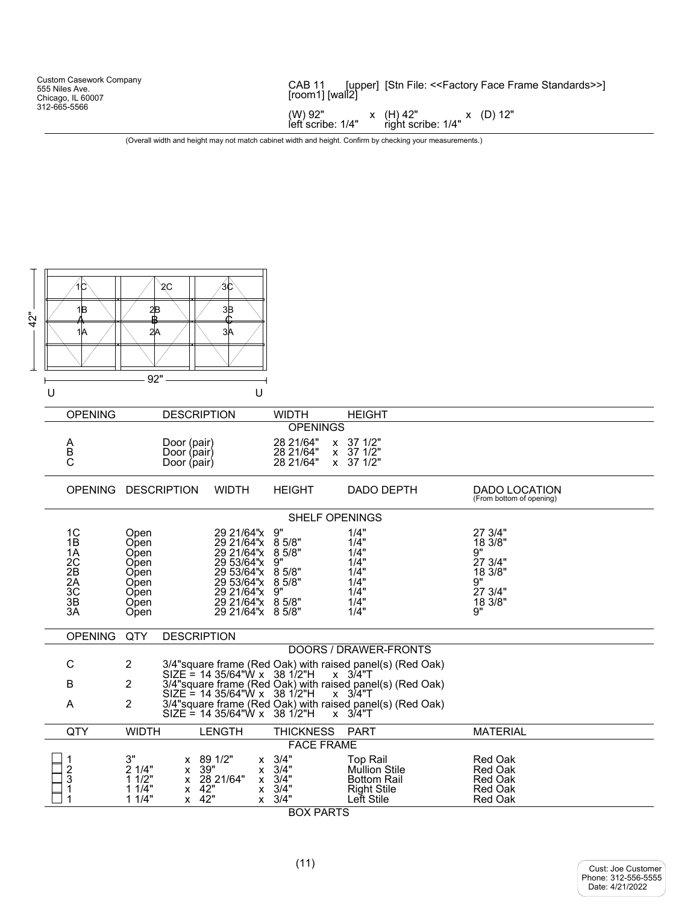| <b>Custom Casework Company</b><br>555 Niles Ave.<br>Chicago, IL 60007                                     | CAB 11<br>[upper] [Stn File: < <factory face="" frame="" standards="">&gt;]<br/>[room1] [wall2]</factory> |  |  |  |  |
|-----------------------------------------------------------------------------------------------------------|-----------------------------------------------------------------------------------------------------------|--|--|--|--|
| 312-665-5566                                                                                              | $(W)$ 92" x $(H)$ 42" x $(D)$ 12"<br>left scribe: 1/4" right scribe: 1/4"                                 |  |  |  |  |
| (Overall width and height may not match cabinet width and height. Confirm by checking your measurements.) |                                                                                                           |  |  |  |  |